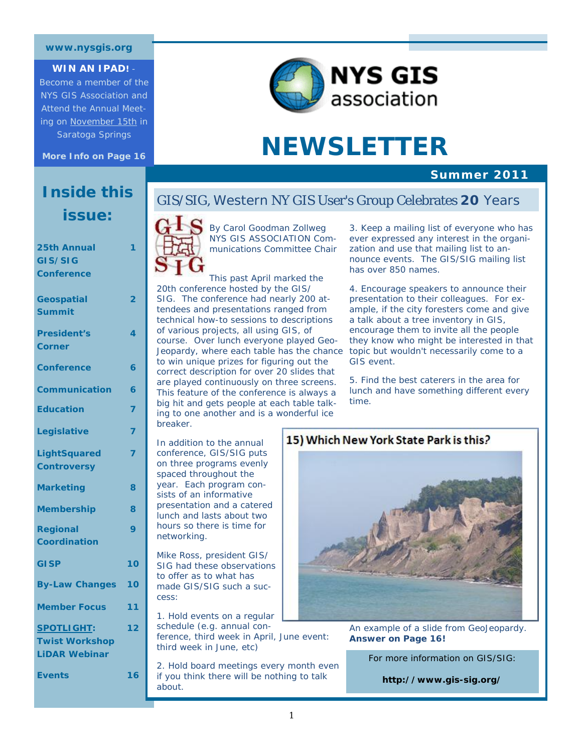#### **www.nysgis.org**

#### **WIN AN IPAD!** -

Become a member of the NYS GIS Association and Attend the Annual Meeting on November 15th in Saratoga Springs

**More Info on Page 16** 

# **Inside this issue:**

| 25th Annual           | 1              |
|-----------------------|----------------|
| GIS/SIG               |                |
| Conference            |                |
|                       |                |
| <b>Geospatial</b>     | 2              |
| <b>Summit</b>         |                |
| <b>President's</b>    | 4              |
| Corner                |                |
| <b>Conference</b>     | 6              |
| <b>Communication</b>  | 6              |
| <b>Education</b>      | 7              |
| Legislative           | $\overline{7}$ |
| <b>LightSquared</b>   | 7              |
| <b>Controversy</b>    |                |
| <b>Marketing</b>      | 8              |
| <b>Membership</b>     | 8              |
| <b>Regional</b>       | 9              |
| <b>Coordination</b>   |                |
| <b>GISP</b>           | 10             |
| <b>By-Law Changes</b> | 10             |
| <b>Member Focus</b>   | 11             |
| <b>SPOTLIGHT:</b>     | 12             |
| <b>Twist Workshop</b> |                |
| <b>LiDAR Webinar</b>  |                |
| <b>Events</b>         | 16             |
|                       |                |



# **NEWSLETTER**

#### **Summer 2011**

### GIS/SIG, Western NY GIS User's Group Celebrates **20** Years



By Carol Goodman Zollweg *NYS GIS ASSOCIATION Communications Committee Chair* 

tendees and presentations ranged from a This past April marked the 20th conference hosted by the GIS/ SIG. The conference had nearly 200 attechnical how-to sessions to descriptions of various projects, all using GIS, of course. Over lunch everyone played Geo-Jeopardy, where each table has the chance to win unique prizes for figuring out the correct description for over 20 slides that are played continuously on three screens. This feature of the conference is always a big hit and gets people at each table talking to one another and is a wonderful ice breaker.

In addition to the annual conference, GIS/SIG puts on three programs evenly spaced throughout the year. Each program consists of an informative presentation and a catered lunch and lasts about two hours so there is time for networking.

Mike Ross, president GIS/ SIG had these observations to offer as to what has made GIS/SIG such a success:

1. Hold events on a regular schedule (e.g. annual conference, third week in April, June event: third week in June, etc)

2. Hold board meetings every month even if you think there will be nothing to talk about.

3. Keep a mailing list of everyone who has ever expressed any interest in the organization and use that mailing list to announce events. The GIS/SIG mailing list has over 850 names.

4. Encourage speakers to announce their presentation to their colleagues. For example, if the city foresters come and give a talk about a tree inventory in GIS, encourage them to invite all the people they know who might be interested in that topic but wouldn't necessarily come to a GIS event.

5. Find the best caterers in the area for lunch and have something different every time.

#### 15) Which New York State Park is this?



An example of a slide from GeoJeopardy. **Answer on Page 16!** 

For more information on GIS/SIG:

**http://www.gis-sig.org/**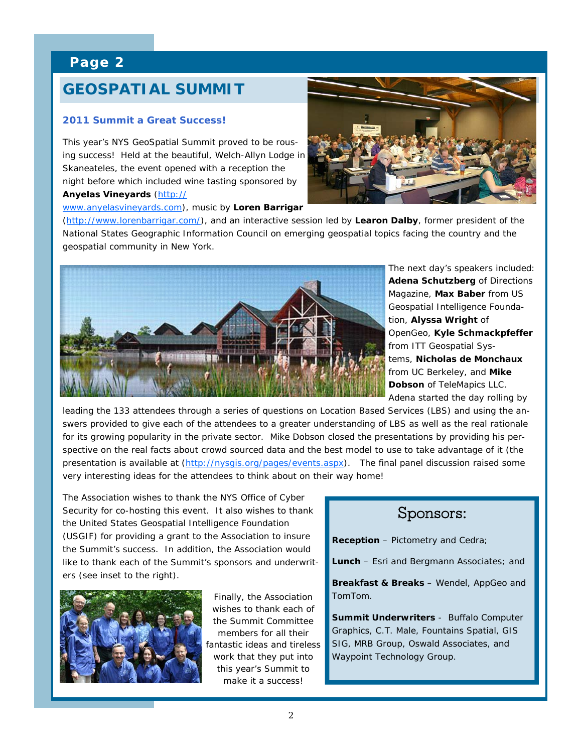# **GEOSPATIAL SUMMIT**

# **Why 2011 Summit a Great Success!**

**This year's NYS GeoSpatial Summit proved to be rous-**<br>**Ing success!** Hold at the beautiful Welch Allyn Lodge is night before which included wine tasting sponsored by  $\frac{1}{2}$   $\frac{1}{2}$   $\frac{1}{2}$   $\frac{1}{2}$   $\frac{1}{2}$   $\frac{1}{2}$   $\frac{1}{2}$   $\frac{1}{2}$   $\frac{1}{2}$   $\frac{1}{2}$   $\frac{1}{2}$   $\frac{1}{2}$   $\frac{1}{2}$   $\frac{1}{2}$   $\frac{1}{2}$   $\frac{1}{2}$   $\frac{1}{2}$   $\frac{1}{2}$   $\frac{1}{2}$   $\frac{1}{2}$   $\frac{1}{2}$   $\frac{1}{2}$  ing success! Held at the beautiful, Welch-Allyn Lodge in Skaneateles, the event opened with a reception the

statewide **Anyelas Vineyards** [\(http://](http://www.anyelasvineyards.com/) <u>[www.anyelasvineyards.com](http://www.anyelasvineyards.com/)</u>), music by <mark>Loren Barrigar</mark>



[\(http://www.lorenbarrigar.com/](http://www.lorenbarrigar.com/)), and an interactive session led by Learon Dalby, former president of the geospatial community in New York. National States Geographic Information Council on emerging geospatial topics facing the country and the



The next day's speakers included: **Adena Schutzberg** of Directions Magazine, **Max Baber** from US Geospatial Intelligence Foundation, **Alyssa Wright** of OpenGeo, **Kyle Schmackpfeffer**  from ITT Geospatial Systems, **Nicholas de Monchaux** from UC Berkeley, and **Mike Dobson** of TeleMapics LLC. Adena started the day rolling by

leading the 133 attendees through a series of questions on Location Based Services (LBS) and using the answers provided to give each of the attendees to a greater understanding of LBS as well as the real rationale for its growing popularity in the private sector. Mike Dobson closed the presentations by providing his perpresentation is available at (<http://nysgis.org/pages/events.aspx>). The final panel discussion raised some very interesting ideas for the attendees to think about on their way home! spective on the real facts about crowd sourced data and the best model to use to take advantage of it (the

The Association wishes to thank the NYS Office of Cyber Security for co-hosting this event. It also wishes to thank the United States Geospatial Intelligence Foundation (USGIF) for providing a grant to the Association to insure the Summit's success. In addition, the Association would like to thank each of the Summit's sponsors and underwriters (see inset to the right).



Finally, the Association wishes to thank each of the Summit Committee members for all their fantastic ideas and tireless work that they put into this year's Summit to make it a success!

# Sponsors:

**Reception** – Pictometry and Cedra;

**Lunch** – Esri and Bergmann Associates; and

**Breakfast & Breaks** – Wendel, AppGeo and TomTom.

**Summit Underwriters** - Buffalo Computer Graphics, C.T. Male, Fountains Spatial, GIS SIG, MRB Group, Oswald Associates, and Waypoint Technology Group.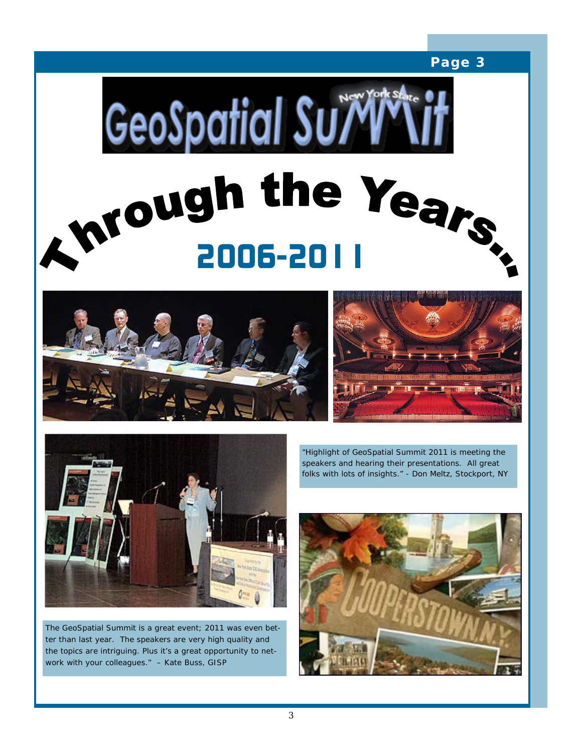







The GeoSpatial Summit is a great event; 2011 was even better than last year. The speakers are very high quality and the topics are intriguing. Plus it's a great opportunity to network with your colleagues." – Kate Buss, GISP

"Highlight of GeoSpatial Summit 2011 is meeting the speakers and hearing their presentations. All great folks with lots of insights." - Don Meltz, Stockport, NY

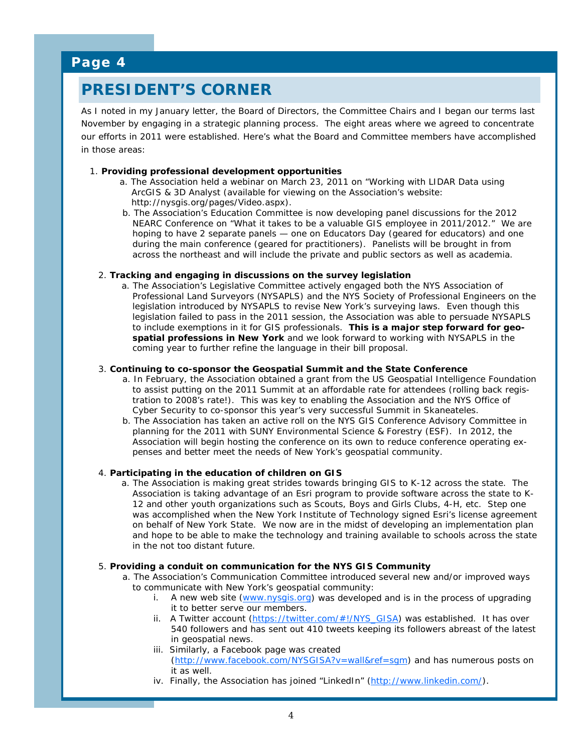# **PRESIDENT'S CORNER**

As I noted in my January letter, the Board of Directors, the Committee Chairs and I began our terms last November by engaging in a strategic planning process. The eight areas where we agreed to concentrate our efforts in 2011 were established. Here's what the Board and Committee members have accomplished in those areas:

#### 1. **Providing professional development opportunities**

- a. The Association held a webinar on March 23, 2011 on "Working with LIDAR Data using ArcGIS & 3D Analyst (available for viewing on the Association's website: http://nysgis.org/pages/Video.aspx).
- b. The Association's Education Committee is now developing panel discussions for the 2012 NEARC Conference on "What it takes to be a valuable GIS employee in 2011/2012." We are hoping to have 2 separate panels — one on Educators Day (geared for educators) and one during the main conference (geared for practitioners). Panelists will be brought in from across the northeast and will include the private and public sectors as well as academia.

#### 2. **Tracking and engaging in discussions on the survey legislation**

a. The Association's Legislative Committee actively engaged both the NYS Association of Professional Land Surveyors (NYSAPLS) and the NYS Society of Professional Engineers on the legislation introduced by NYSAPLS to revise New York's surveying laws. Even though this legislation failed to pass in the 2011 session, the Association was able to persuade NYSAPLS to include exemptions in it for GIS professionals. *This is a major step forward for geospatial professions in New York* and we look forward to working with NYSAPLS in the coming year to further refine the language in their bill proposal.

#### 3. **Continuing to co-sponsor the Geospatial Summit and the State Conference**

- a. In February, the Association obtained a grant from the US Geospatial Intelligence Foundation to assist putting on the 2011 Summit at an affordable rate for attendees (rolling back registration to 2008's rate!). This was key to enabling the Association and the NYS Office of Cyber Security to co-sponsor this year's very successful Summit in Skaneateles.
- b. The Association has taken an active roll on the NYS GIS Conference Advisory Committee in planning for the 2011 with SUNY Environmental Science & Forestry (ESF). In 2012, the Association will begin hosting the conference on its own to reduce conference operating expenses and better meet the needs of New York's geospatial community.

#### 4. **Participating in the education of children on GIS**

a. The Association is making great strides towards bringing GIS to K-12 across the state. The Association is taking advantage of an Esri program to provide software across the state to K-12 and other youth organizations such as Scouts, Boys and Girls Clubs, 4-H, etc. Step one was accomplished when the New York Institute of Technology signed Esri's license agreement on behalf of New York State. We now are in the midst of developing an implementation plan and hope to be able to make the technology and training available to schools across the state in the not too distant future.

#### 5. **Providing a conduit on communication for the NYS GIS Community**

- a. The Association's Communication Committee introduced several new and/or improved ways to communicate with New York's geospatial community:
	- i. A new web site ([www.nysgis.org](http://www.nysgis.org/)) was developed and is in the process of upgrading it to better serve our members.
	- ii. A Twitter account ([https://twitter.com/#!/NYS\\_GISA](https://twitter.com/#!/NYS_GISA)) was established. It has over 540 followers and has sent out 410 tweets keeping its followers abreast of the latest in geospatial news.
	- iii. Similarly, a Facebook page was created [\(http://www.facebook.com/NYSGISA?v=wall&ref=sgm](http://www.facebook.com/NYSGISA?v=wall&ref=sgm)) and has numerous posts on it as well.
	- iv. Finally, the Association has joined "LinkedIn" (<http://www.linkedin.com/>).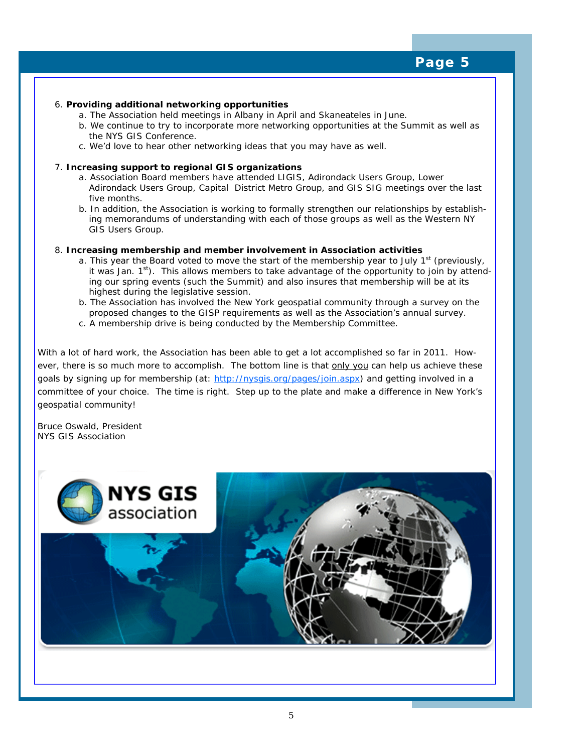#### 6. **Providing additional networking opportunities**

- a. The Association held meetings in Albany in April and Skaneateles in June.
- b. We continue to try to incorporate more networking opportunities at the Summit as well as the NYS GIS Conference.
- c. We'd love to hear other networking ideas that you may have as well.

#### 7. **Increasing support to regional GIS organizations**

- a. Association Board members have attended LIGIS, Adirondack Users Group, Lower Adirondack Users Group, Capital District Metro Group, and GIS SIG meetings over the last five months.
- b. In addition, the Association is working to formally strengthen our relationships by establishing memorandums of understanding with each of those groups as well as the Western NY GIS Users Group.

#### 8. **Increasing membership and member involvement in Association activities**

- a. This year the Board voted to move the start of the membership year to July  $1<sup>st</sup>$  (previously, it was Jan.  $1^{st}$ ). This allows members to take advantage of the opportunity to join by attending our spring events (such the Summit) and also insures that membership will be at its highest during the legislative session.
- b. The Association has involved the New York geospatial community through a survey on the proposed changes to the GISP requirements as well as the Association's annual survey.
- c. A membership drive is being conducted by the Membership Committee.

With a lot of hard work, the Association has been able to get a lot accomplished so far in 2011. However, there is so much more to accomplish. The bottom line is that only you can help us achieve these goals by signing up for membership (at: <http://nysgis.org/pages/join.aspx>) and getting involved in a committee of your choice. The time is right. Step up to the plate and make a difference in New York's geospatial community!

Bruce Oswald, President NYS GIS Association

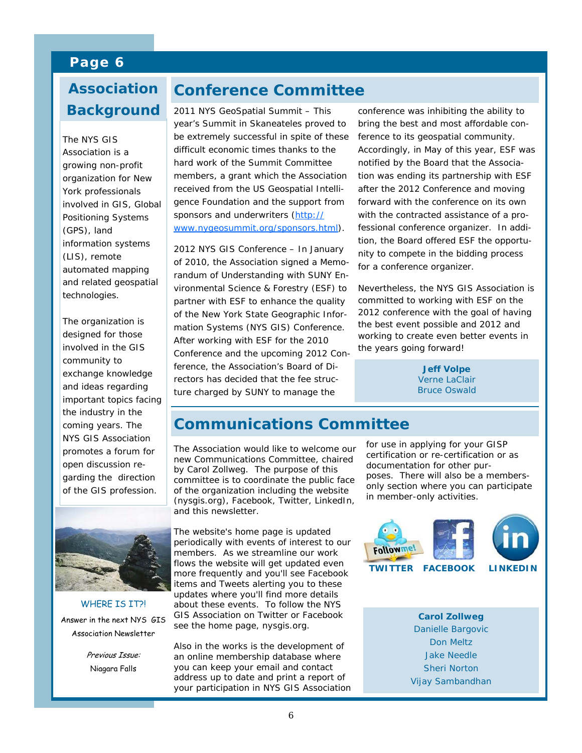# **Why Background Association**

The NYS GIS<br>Association is a organization for New vork professionals involved in GIS, Global  $\frac{1}{2}$ Positioning Systems information systems (LIS), remote automated mapping technologies. The NYS GIS growing non-profit (GPS), land and related geospatial

The organization is involved in the GIS community to  $\frac{1}{2}$  correction correction  $\frac{1}{2}$ exchange knowledge and ideas regarding the industry in the coming years. The NYS GIS Association open discussion regarding the direction  $tho$  CIS profession of the GIS profession.<br> designed for those important topics facing promotes a forum for



WHERE IS IT?! Answer in the next NYS GIS Association Newsletter

> Previous Issue: Niagara Falls

# **Conference Committee**

2011 NYS GeoSpatial Summit – This year's Summit in Skaneateles proved to be extremely successful in spite of these difficult economic times thanks to the hard work of the Summit Committee members, a grant which the Association received from the US Geospatial Intelligence Foundation and the support from sponsors and underwriters ([http://](http://www.nygeosummit.org/sponsors.html) [www.nygeosummit.org/sponsors.html](http://www.nygeosummit.org/sponsors.html)).

2012 NYS GIS Conference – In January of 2010, the Association signed a Memorandum of Understanding with SUNY Environmental Science & Forestry (ESF) to partner with ESF to enhance the quality of the New York State Geographic Information Systems (NYS GIS) Conference. After working with ESF for the 2010 Conference and the upcoming 2012 Conference, the Association's Board of Directors has decided that the fee structure charged by SUNY to manage the

conference was inhibiting the ability to bring the best and most affordable conference to its geospatial community. Accordingly, in May of this year, ESF was notified by the Board that the Association was ending its partnership with ESF after the 2012 Conference and moving forward with the conference on its own with the contracted assistance of a professional conference organizer. In addition, the Board offered ESF the opportunity to compete in the bidding process for a conference organizer.

Nevertheless, the NYS GIS Association is committed to working with ESF on the 2012 conference with the goal of having the best event possible and 2012 and working to create even better events in the years going forward!

> **Jeff Volpe**  Verne LaClair Bruce Oswald

# **Communications Committee**

The Association would like to welcome our new Communications Committee, chaired by Carol Zollweg. The purpose of this committee is to coordinate the public face of the organization including the website (nysgis.org), Facebook, Twitter, LinkedIn, and this newsletter.

The website's home page is updated periodically with events of interest to our members. As we streamline our work flows the website will get updated even more frequently and you'll see Facebook items and Tweets alerting you to these updates where you'll find more details about these events. To follow the NYS GIS Association on Twitter or Facebook see the home page, nysgis.org.

Also in the works is the development of an online membership database where you can keep your email and contact address up to date and print a report of your participation in NYS GIS Association for use in applying for your GISP certification or re-certification or as documentation for other purposes. There will also be a membersonly section where you can participate in member-only activities.



**Carol Zollweg**  Danielle Bargovic Don Meltz Jake Needle Sheri Norton Vijay Sambandhan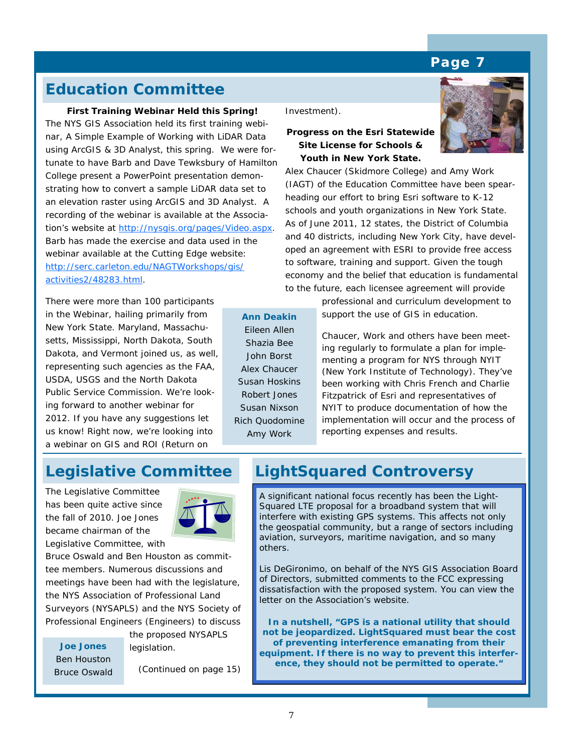# **Education Committee**

**First Training Webinar Held this Spring!**  The NYS GIS Association held its first training webinar, *A Simple Example of Working with LiDAR Data using ArcGIS & 3D Analyst*, this spring. We were fortunate to have Barb and Dave Tewksbury of Hamilton College present a PowerPoint presentation demonstrating how to convert a sample LiDAR data set to an elevation raster using ArcGIS and 3D Analyst. A recording of the webinar is available at the Association's website at<http://nysgis.org/pages/Video.aspx>. Barb has made the exercise and data used in the webinar available at the Cutting Edge website: [http://serc.carleton.edu/NAGTWorkshops/gis/](http://serc.carleton.edu/NAGTWorkshops/gis/activities2/48283.html) [activities2/48283.html](http://serc.carleton.edu/NAGTWorkshops/gis/activities2/48283.html).

There were more than 100 participants in the Webinar, hailing primarily from New York State. Maryland, Massachusetts, Mississippi, North Dakota, South Dakota, and Vermont joined us, as well, representing such agencies as the FAA, USDA, USGS and the North Dakota Public Service Commission. We're looking forward to another webinar for 2012. If you have any suggestions let us know! Right now, we're looking into a webinar on GIS and ROI (Return on

Investment).

**Ann Deakin**  Eileen Allen Shazia Bee John Borst Alex Chaucer Susan Hoskins Robert Jones Susan Nixson Rich Quodomine Amy Work

#### **Progress on the Esri Statewide Site License for Schools & Youth in New York State.**

Alex Chaucer (Skidmore College) and Amy Work (IAGT) of the Education Committee have been spearheading our effort to bring Esri software to K-12 schools and youth organizations in New York State. As of June 2011, 12 states, the District of Columbia and 40 districts, including New York City, have developed an agreement with ESRI to provide free access to software, training and support. Given the tough economy and the belief that education is fundamental to the future, each licensee agreement will provide

> professional and curriculum development to support the use of GIS in education.

Chaucer, Work and others have been meeting regularly to formulate a plan for implementing a program for NYS through NYIT (New York Institute of Technology). They've been working with Chris French and Charlie Fitzpatrick of Esri and representatives of NYIT to produce documentation of how the implementation will occur and the process of reporting expenses and results.

The Legislative Committee has been quite active since the fall of 2010. Joe Jones became chairman of the Legislative Committee, with



Bruce Oswald and Ben Houston as committee members. Numerous discussions and meetings have been had with the legislature, the NYS Association of Professional Land Surveyors (NYSAPLS) and the NYS Society of Professional Engineers (Engineers) to discuss

the proposed NYSAPLS legislation. **Joe Jones**  Ben Houston Bruce Oswald

(Continued on page 15)

# **Legislative Committee LightSquared Controversy**

A significant national focus recently has been the Light-Squared LTE proposal for a broadband system that will interfere with existing GPS systems. This affects not only the geospatial community, but a range of sectors including aviation, surveyors, maritime navigation, and so many others.

Lis DeGironimo, on behalf of the NYS GIS Association Board of Directors, submitted comments to the FCC expressing dissatisfaction with the proposed system. You can view the letter on the Association's website.

**In a nutshell, "GPS is a national utility that should not be jeopardized. LightSquared must bear the cost of preventing interference emanating from their equipment. If there is no way to prevent this interference, they should not be permitted to operate."** 

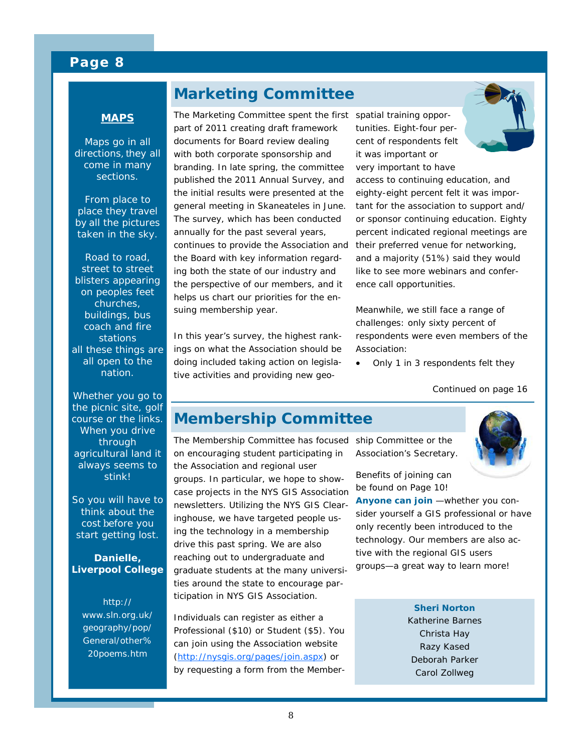# **Marketing Committee**



Maps go in all directions, they all come in many sections.

From place to place they travel by all the pictures taken in the sky.

Road to road, street to street blisters appearing on peoples feet churches, buildings, bus coach and fire stations all these things are all open to the nation.

Whether you go to the picnic site, golf course or the links. When you drive through agricultural land it always seems to stink!

So you will have to think about the cost before you start getting lost.

#### **Danielle, Liverpool College**

*http:// www.sln.org.uk/ geography/pop/ General/other% 20poems.htm* 

The Marketing Committee spent the first spatial training opporpart of 2011 creating draft framework documents for Board review dealing with both corporate sponsorship and branding. In late spring, the committee published the 2011 Annual Survey, and the initial results were presented at the general meeting in Skaneateles in June. The survey, which has been conducted annually for the past several years, continues to provide the Association and the Board with key information regarding both the state of our industry and the perspective of our members, and it helps us chart our priorities for the ensuing membership year.

In this year's survey, the highest rankings on what the Association should be doing included taking action on legislative activities and providing new geo-

tunities. Eight-four percent of respondents felt it was important or very important to have access to continuing education, and eighty-eight percent felt it was important for the association to support and/ or sponsor continuing education. Eighty percent indicated regional meetings are their preferred venue for networking, and a majority (51%) said they would like to see more webinars and conference call opportunities.

Meanwhile, we still face a range of challenges: only sixty percent of respondents were even members of the Association:

• Only 1 in 3 respondents felt they

*Continued on page 16* 

# **Membership Committee**

The Membership Committee has focused ship Committee or the on encouraging student participating in the Association and regional user groups. In particular, we hope to showcase projects in the NYS GIS Association newsletters. Utilizing the NYS GIS Clearinghouse, we have targeted people using the technology in a membership drive this past spring. We are also reaching out to undergraduate and graduate students at the many universities around the state to encourage participation in NYS GIS Association.

Individuals can register as either a Professional (\$10) or Student (\$5). You can join using the Association website (<http://nysgis.org/pages/join.aspx>) or by requesting a form from the MemberAssociation's Secretary.

Benefits of joining can be found on Page 10!

**Anyone can join** —whether you consider yourself a GIS professional or have only recently been introduced to the technology. Our members are also active with the regional GIS users groups—a great way to learn more!

> **Sheri Norton**  Katherine Barnes Christa Hay Razy Kased Deborah Parker Carol Zollweg

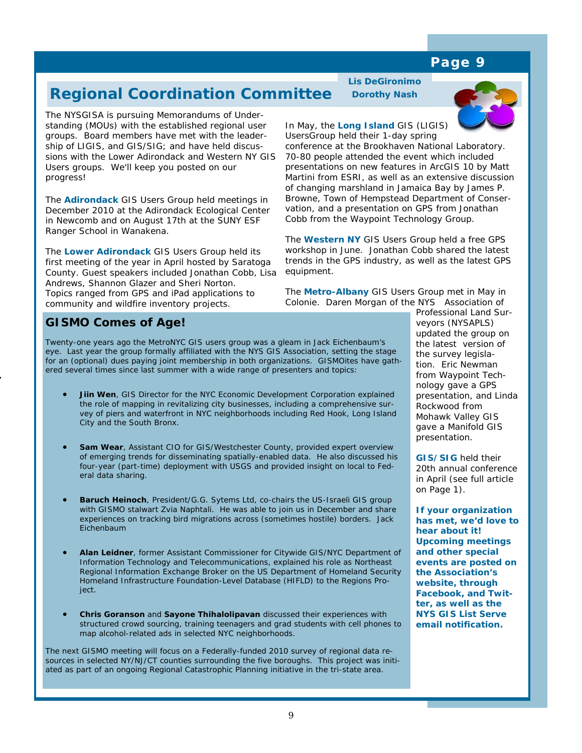9

### **Page 9**

# **Regional Coordination Committee**

The NYSGISA is pursuing Memorandums of Understanding (MOUs) with the established regional user groups. Board members have met with the leadership of LIGIS, and GIS/SIG; and have held discussions with the Lower Adirondack and Western NY GIS Users groups. We'll keep you posted on our progress!

The **Adirondack** GIS Users Group held meetings in December 2010 at the Adirondack Ecological Center in Newcomb and on August 17th at the SUNY ESF Ranger School in Wanakena.

The **Lower Adirondack** GIS Users Group held its first meeting of the year in April hosted by Saratoga County. Guest speakers included Jonathan Cobb, Lisa Andrews, Shannon Glazer and Sheri Norton. Topics ranged from GPS and iPad applications to community and wildfire inventory projects.

### **GISMO Comes of Age!**

Twenty-one years ago the MetroNYC GIS users group was a gleam in Jack Eichenbaum's eye. Last year the group formally affiliated with the NYS GIS Association, setting the stage for an (optional) dues paying joint membership in both organizations. GISMOites have gathered several times since last summer with a wide range of presenters and topics:

- **Jiin Wen**, GIS Director for the NYC Economic Development Corporation explained the role of mapping in revitalizing city businesses, including a comprehensive survey of piers and waterfront in NYC neighborhoods including Red Hook, Long Island City and the South Bronx.
- **Sam Wear**, Assistant CIO for GIS/Westchester County, provided expert overview of emerging trends for disseminating spatially-enabled data. He also discussed his four-year (part-time) deployment with USGS and provided insight on local to Federal data sharing.
- **Baruch Heinoch**, President/G.G. Sytems Ltd, co-chairs the US-Israeli GIS group with GISMO stalwart Zvia Naphtali. He was able to join us in December and share experiences on tracking bird migrations across (sometimes hostile) borders. Jack Eichenbaum
- **Alan Leidner**, former Assistant Commissioner for Citywide GIS/NYC Department of Information Technology and Telecommunications, explained his role as Northeast Regional Information Exchange Broker on the US Department of Homeland Security Homeland Infrastructure Foundation-Level Database (HIFLD) to the Regions Project.
- **Chris Goranson** and **Sayone Thihalolipavan** discussed their experiences with structured crowd sourcing, training teenagers and grad students with cell phones to map alcohol-related ads in selected NYC neighborhoods.

The next GISMO meeting will focus on a Federally-funded 2010 survey of regional data resources in selected NY/NJ/CT counties surrounding the five boroughs. This project was initiated as part of an ongoing Regional Catastrophic Planning initiative in the tri-state area.

**Lis DeGironimo Dorothy Nash** 



#### In May, the **Long Island** GIS (LIGIS) UsersGroup held their 1-day spring

conference at the Brookhaven National Laboratory. 70-80 people attended the event which included presentations on new features in ArcGIS 10 by Matt Martini from ESRI, as well as an extensive discussion of changing marshland in Jamaica Bay by James P. Browne, Town of Hempstead Department of Conservation, and a presentation on GPS from Jonathan Cobb from the Waypoint Technology Group.

The **Western NY** GIS Users Group held a free GPS workshop in June. Jonathan Cobb shared the latest trends in the GPS industry, as well as the latest GPS equipment.

The **Metro-Albany** GIS Users Group met in May in Colonie. Daren Morgan of the NYS Association of

Professional Land Surveyors (NYSAPLS) updated the group on the latest version of the survey legislation. Eric Newman from Waypoint Technology gave a GPS presentation, and Linda Rockwood from Mohawk Valley GIS gave a Manifold GIS presentation.

**GIS/SIG** held their 20th annual conference in April (see full article on Page 1).

**If your organization has met, we'd love to hear about it! Upcoming meetings and other special events are posted on the Association's website, through Facebook, and Twitter, as well as the NYS GIS List Serve email notification.**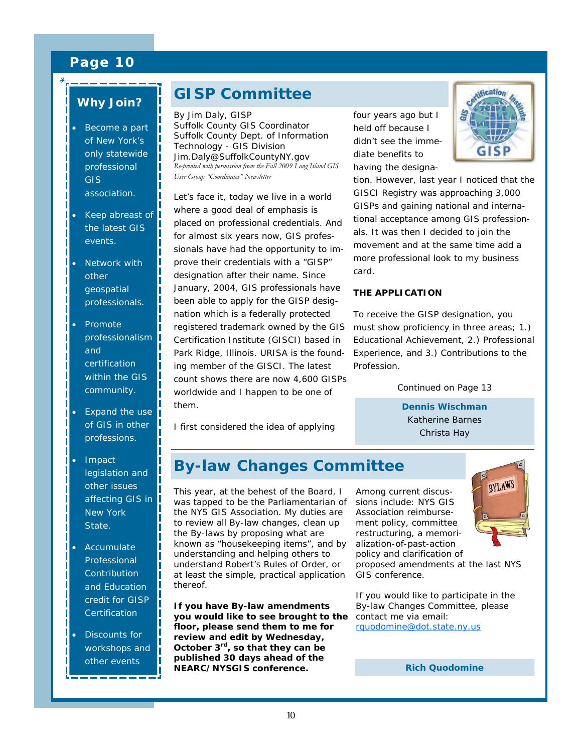### *Why Join??*

- Become a part of New York's only statewide professional GIS association.
- Keep abreast of the latest GIS events.
- Network with other geospatial professionals.
- Promote professionalism and certification within the GIS community.
- Expand the use of GIS in other professions.
- Impact legislation and other issues affecting GIS in New York State.
- **Accumulate** Professional **Contribution** and Education credit for GISP **Certification**
- Discounts for workshops and other events

\_\_\_\_\_\_\_

# **GISP Committee**

By Jim Daly, GISP Suffolk County GIS Coordinator Suffolk County Dept. of Information Technology - GIS Division Jim.Daly@SuffolkCountyNY.gov *Re-printed with permission from the Fall 2009 Long Island GIS User Group "Coordinates" Newsletter* 

Let's face it, today we live in a world where a good deal of emphasis is placed on professional credentials. And for almost six years now, GIS professionals have had the opportunity to improve their credentials with a "GISP" designation after their name. Since January, 2004, GIS professionals have been able to apply for the GISP designation which is a federally protected registered trademark owned by the GIS Certification Institute (GISCI) based in Park Ridge, Illinois. URISA is the founding member of the GISCI. The latest count shows there are now 4,600 GISPs worldwide and I happen to be one of them.

I first considered the idea of applying

four years ago but I held off because I didn't see the immediate benefits to having the designa-



tion. However, last year I noticed that the GISCI Registry was approaching 3,000 GISPs and gaining national and international acceptance among GIS professionals. It was then I decided to join the movement and at the same time add a more professional look to my business card.

#### **THE APPLICATION**

To receive the GISP designation, you must show proficiency in three areas; 1.) Educational Achievement, 2.) Professional Experience, and 3.) Contributions to the Profession.

*Continued on Page 13* 

**Dennis Wischman**  Katherine Barnes Christa Hay

# **By-law Changes Committee**

This year, at the behest of the Board, I was tapped to be the Parliamentarian of the NYS GIS Association. My duties are to review all By-law changes, clean up the By-laws by proposing what are known as "housekeeping items", and by understanding and helping others to understand Robert's Rules of Order, or at least the simple, practical application thereof.

**If you have By-law amendments you would like to see brought to the floor, please send them to me for review and edit by Wednesday, October 3rd, so that they can be published 30 days ahead of the NEARC/NYSGIS conference.** 

BYLAWS Among current discussions include: NYS GIS Association reimbursement policy, committee restructuring, a memorialization-of-past-action policy and clarification of proposed amendments at the last NYS GIS conference.

If you would like to participate in the By-law Changes Committee, please contact me via email: [rquodomine@dot.state.ny.us](mailto:rquodomine@dot.state.ny.us)

**Rich Quodomine**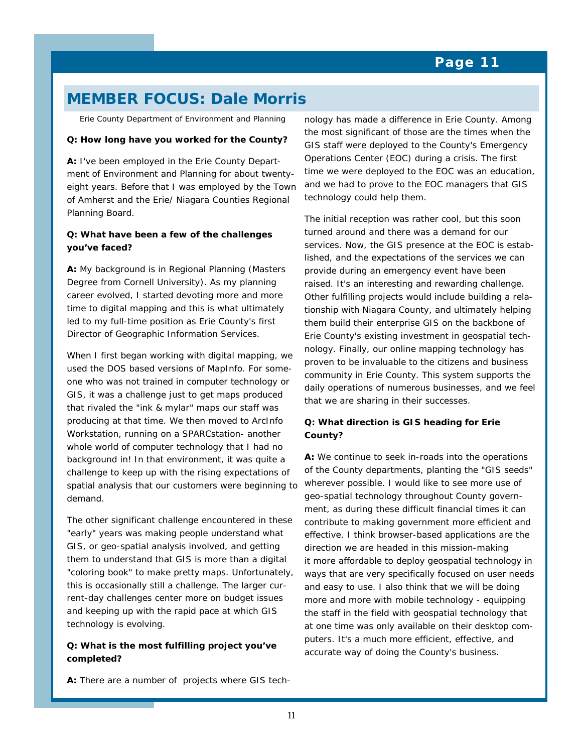# **MEMBER FOCUS: Dale Morris**

*Erie County Department of Environment and Planning* 

#### **Q: How long have you worked for the County?**

**A:** I've been employed in the Erie County Department of Environment and Planning for about twentyeight years. Before that I was employed by the Town of Amherst and the Erie/ Niagara Counties Regional Planning Board.

#### **Q: What have been a few of the challenges you've faced?**

**A:** My background is in Regional Planning (Masters Degree from Cornell University). As my planning career evolved, I started devoting more and more time to digital mapping and this is what ultimately led to my full-time position as Erie County's first Director of Geographic Information Services.

When I first began working with digital mapping, we used the DOS based versions of MapInfo. For someone who was not trained in computer technology or GIS, it was a challenge just to get maps produced that rivaled the "ink & mylar" maps our staff was producing at that time. We then moved to ArcInfo Workstation, running on a SPARCstation- another whole world of computer technology that I had no background in! In that environment, it was quite a challenge to keep up with the rising expectations of spatial analysis that our customers were beginning to demand.

The other significant challenge encountered in these "early" years was making people understand what GIS, or geo-spatial analysis involved, and getting them to understand that GIS is more than a digital "coloring book" to make pretty maps. Unfortunately, this is occasionally still a challenge. The larger current-day challenges center more on budget issues and keeping up with the rapid pace at which GIS technology is evolving.

#### **Q: What is the most fulfilling project you've completed?**

**A:** There are a number of projects where GIS tech-

nology has made a difference in Erie County. Among the most significant of those are the times when the GIS staff were deployed to the County's Emergency Operations Center (EOC) during a crisis. The first time we were deployed to the EOC was an education, and we had to prove to the EOC managers that GIS technology could help them.

The initial reception was rather cool, but this soon turned around and there was a demand for our services. Now, the GIS presence at the EOC is established, and the expectations of the services we can provide during an emergency event have been raised. It's an interesting and rewarding challenge. Other fulfilling projects would include building a relationship with Niagara County, and ultimately helping them build their enterprise GIS on the backbone of Erie County's existing investment in geospatial technology. Finally, our online mapping technology has proven to be invaluable to the citizens and business community in Erie County. This system supports the daily operations of numerous businesses, and we feel that we are sharing in their successes.

#### **Q: What direction is GIS heading for Erie County?**

**A:** We continue to seek in-roads into the operations of the County departments, planting the "GIS seeds" wherever possible. I would like to see more use of geo-spatial technology throughout County government, as during these difficult financial times it can contribute to making government more efficient and effective. I think browser-based applications are the direction we are headed in this mission-making it more affordable to deploy geospatial technology in ways that are very specifically focused on user needs and easy to use. I also think that we will be doing more and more with mobile technology - equipping the staff in the field with geospatial technology that at one time was only available on their desktop computers. It's a much more efficient, effective, and accurate way of doing the County's business.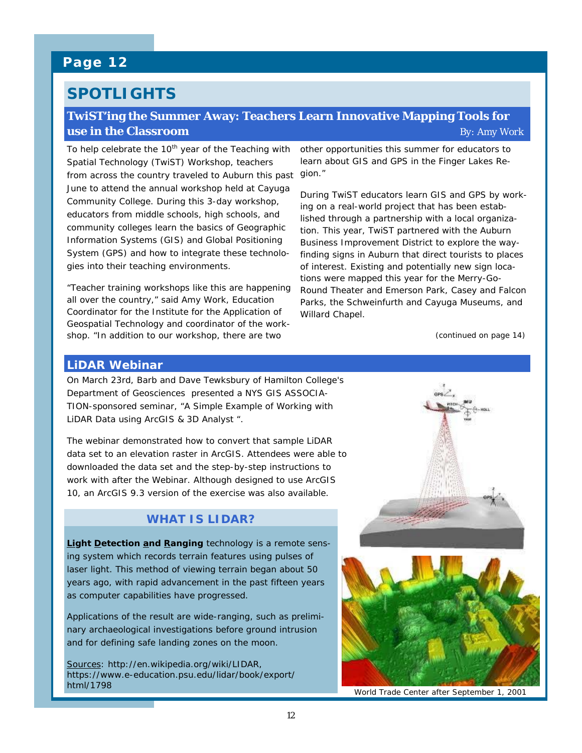# **SPOTLIGHTS**

#### **TwiST'ing the Summer Away: Teachers Learn Innovative Mapping Tools for use in the Classroom** *By: Amy Work*

To help celebrate the  $10<sup>th</sup>$  year of the Teaching with Spatial Technology (TwiST) Workshop, teachers from across the country traveled to Auburn this past gion." June to attend the annual workshop held at Cayuga Community College. During this 3-day workshop, educators from middle schools, high schools, and community colleges learn the basics of Geographic Information Systems (GIS) and Global Positioning System (GPS) and how to integrate these technologies into their teaching environments.

"Teacher training workshops like this are happening all over the country," said Amy Work, Education Coordinator for the Institute for the Application of Geospatial Technology and coordinator of the workshop. "In addition to our workshop, there are two

other opportunities this summer for educators to learn about GIS and GPS in the Finger Lakes Re-

During TwiST educators learn GIS and GPS by working on a real-world project that has been established through a partnership with a local organization. This year, TwiST partnered with the Auburn Business Improvement District to explore the wayfinding signs in Auburn that direct tourists to places of interest. Existing and potentially new sign locations were mapped this year for the Merry-Go-Round Theater and Emerson Park, Casey and Falcon Parks, the Schweinfurth and Cayuga Museums, and Willard Chapel.

*(continued on page 14)* 

#### **LiDAR Webinar**

On March 23rd, Barb and Dave Tewksbury of Hamilton College's Department of Geosciences presented a NYS GIS ASSOCIA-TION-sponsored seminar, "A Simple Example of Working with LiDAR Data using ArcGIS & 3D Analyst ".

The webinar demonstrated how to convert that sample LiDAR data set to an elevation raster in ArcGIS. Attendees were able to downloaded the data set and the step-by-step instructions to work with after the Webinar. Although designed to use ArcGIS 10, an ArcGIS 9.3 version of the exercise was also available.

#### **WHAT IS LIDAR?**

**Light Detection and Ranging** technology is a remote sensing system which records terrain features using pulses of laser light. This method of viewing terrain began about 50 years ago, with rapid advancement in the past fifteen years as computer capabilities have progressed.

Applications of the result are wide-ranging, such as preliminary archaeological investigations before ground intrusion and for defining safe landing zones on the moon.

Sources: *http://en.wikipedia.org/wiki/LIDAR, https://www.e-education.psu.edu/lidar/book/export/ html/1798* 





*World Trade Center after September 1, 2001*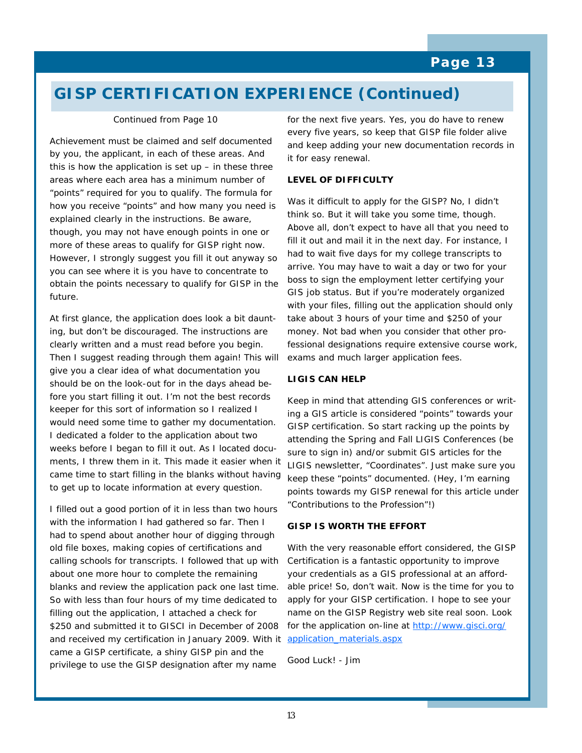# **GISP CERTIFICATION EXPERIENCE (Continued)**

#### *Continued from Page 10*

Achievement must be claimed and self documented by you, the applicant, in each of these areas. And this is how the application is set  $up$  – in these three areas where each area has a minimum number of "points" required for you to qualify. The formula for how you receive "points" and how many you need is explained clearly in the instructions. Be aware, though, you may not have enough points in one or more of these areas to qualify for GISP right now. However, I strongly suggest you fill it out anyway so you can see where it is you have to concentrate to obtain the points necessary to qualify for GISP in the future.

At first glance, the application does look a bit daunting, but don't be discouraged. The instructions are clearly written and a must read before you begin. Then I suggest reading through them again! This will give you a clear idea of what documentation you should be on the look-out for in the days ahead before you start filling it out. I'm not the best records keeper for this sort of information so I realized I would need some time to gather my documentation. I dedicated a folder to the application about two weeks before I began to fill it out. As I located documents, I threw them in it. This made it easier when it came time to start filling in the blanks without having to get up to locate information at every question.

I filled out a good portion of it in less than two hours with the information I had gathered so far. Then I had to spend about another hour of digging through old file boxes, making copies of certifications and calling schools for transcripts. I followed that up with about one more hour to complete the remaining blanks and review the application pack one last time. So with less than four hours of my time dedicated to filling out the application, I attached a check for \$250 and submitted it to GISCI in December of 2008 and received my certification in January 2009. With it came a GISP certificate, a shiny GISP pin and the privilege to use the GISP designation after my name

for the next five years. Yes, you do have to renew every five years, so keep that GISP file folder alive and keep adding your new documentation records in it for easy renewal.

#### **LEVEL OF DIFFICULTY**

Was it difficult to apply for the GISP? No, I didn't think so. But it will take you some time, though. Above all, don't expect to have all that you need to fill it out and mail it in the next day. For instance, I had to wait five days for my college transcripts to arrive. You may have to wait a day or two for your boss to sign the employment letter certifying your GIS job status. But if you're moderately organized with your files, filling out the application should only take about 3 hours of your time and \$250 of your money. Not bad when you consider that other professional designations require extensive course work, exams and much larger application fees.

#### **LIGIS CAN HELP**

Keep in mind that attending GIS conferences or writing a GIS article is considered "points" towards your GISP certification. So start racking up the points by attending the Spring and Fall LIGIS Conferences (be sure to sign in) and/or submit GIS articles for the LIGIS newsletter, "Coordinates". Just make sure you keep these "points" documented. (Hey, I'm earning points towards my GISP renewal for this article under "Contributions to the Profession"!)

#### **GISP IS WORTH THE EFFORT**

With the very reasonable effort considered, the GISP Certification is a fantastic opportunity to improve your credentials as a GIS professional at an affordable price! So, don't wait. Now is the time for you to apply for your GISP certification. I hope to see your name on the GISP Registry web site real soon. Look for the application on-line at [http://www.gisci.org/](http://www.gisci.org/application_materials.aspx) [application\\_materials.aspx](http://www.gisci.org/application_materials.aspx)

Good Luck! - Jim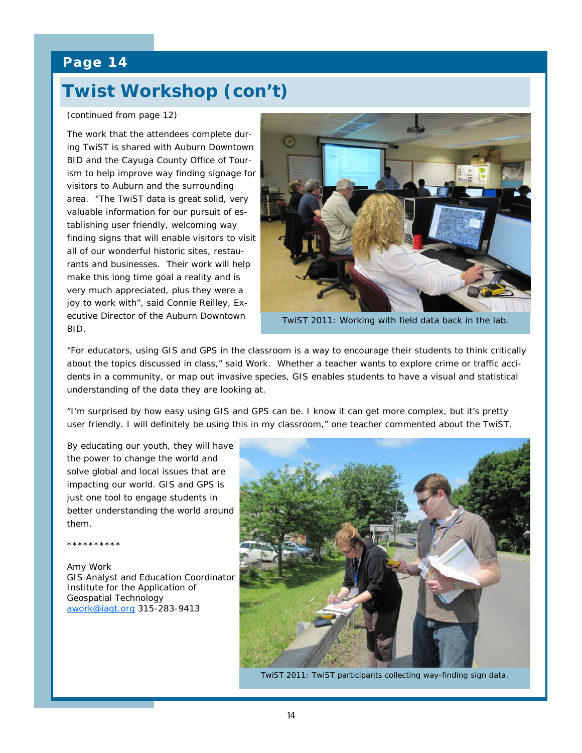# **Twist Workshop (con't)**

#### *(continued from page 12)*

The work that the attendees complete during TwiST is shared with Auburn Downtown BID and the Cayuga County Office of Tourism to help improve way finding signage for visitors to Auburn and the surrounding area. "The TwiST data is great solid, very valuable information for our pursuit of establishing user friendly, welcoming way finding signs that will enable visitors to visit all of our wonderful historic sites, restaurants and businesses. Their work will help make this long time goal a reality and is very much appreciated, plus they were a joy to work with", said Connie Reilley, Executive Director of the Auburn Downtown BID.



TwiST 2011: Working with field data back in the lab.

"For educators, using GIS and GPS in the classroom is a way to encourage their students to think critically about the topics discussed in class," said Work. Whether a teacher wants to explore crime or traffic accidents in a community, or map out invasive species, GIS enables students to have a visual and statistical understanding of the data they are looking at.

"I'm surprised by how easy using GIS and GPS can be. I know it can get more complex, but it's pretty user friendly. I will definitely be using this in my classroom," one teacher commented about the TwiST.

By educating our youth, they will have the power to change the world and solve global and local issues that are impacting our world. GIS and GPS is just one tool to engage students in better understanding the world around them.

\*\*\*\*\*\*\*\*\*\*

Amy Work GIS Analyst and Education Coordinator Institute for the Application of Geospatial Technology [awork@iagt.org](mailto:awork@iagt.org) 315-283-9413



TwiST 2011: TwiST participants collecting way-finding sign data.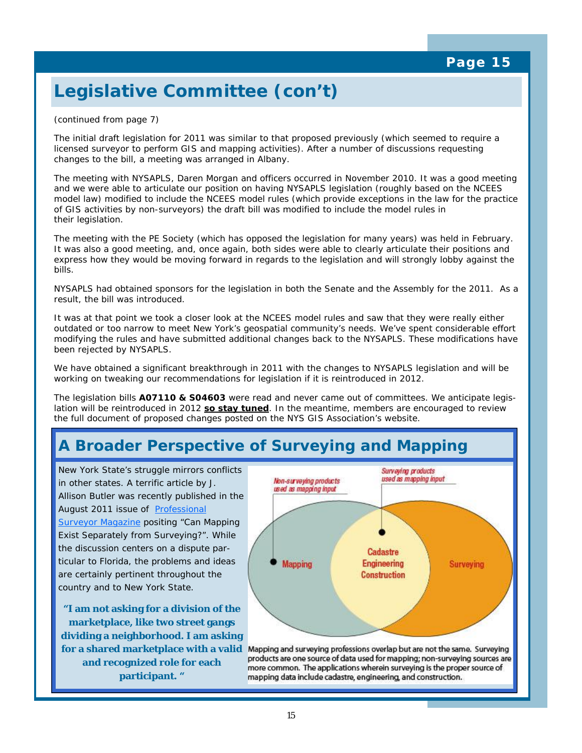# **Legislative Committee (con't)**

#### *(continued from page 7)*

The initial draft legislation for 2011 was similar to that proposed previously (which seemed to require a licensed surveyor to perform GIS and mapping activities). After a number of discussions requesting changes to the bill, a meeting was arranged in Albany.

The meeting with NYSAPLS, Daren Morgan and officers occurred in November 2010. It was a good meeting and we were able to articulate our position on having NYSAPLS legislation (roughly based on the NCEES model law) modified to include the NCEES model rules (which provide exceptions in the law for the practice of GIS activities by non-surveyors) the draft bill was modified to include the model rules in their legislation.

The meeting with the PE Society (which has opposed the legislation for many years) was held in February. It was also a good meeting, and, once again, both sides were able to clearly articulate their positions and express how they would be moving forward in regards to the legislation and will strongly lobby against the bills.

NYSAPLS had obtained sponsors for the legislation in both the Senate and the Assembly for the 2011. As a result, the bill was introduced.

It was at that point we took a closer look at the NCEES model rules and saw that they were really either outdated or too narrow to meet New York's geospatial community's needs. We've spent considerable effort modifying the rules and have submitted additional changes back to the NYSAPLS. These modifications have been rejected by NYSAPLS.

We have obtained a significant breakthrough in 2011 with the changes to NYSAPLS legislation and will be working on tweaking our recommendations for legislation if it is reintroduced in 2012.

The legislation bills *A07110 & S04603* were read and never came out of committees. We anticipate legislation will be reintroduced in 2012 **so stay tuned**. In the meantime, members are encouraged to review the full document of proposed changes posted on the NYS GIS Association's website.

# **A Broader Perspective of Surveying and Mapping**

New York State's struggle mirrors conflicts in other states. A terrific article by J. Allison Butler was recently published in the August 2011 issue of [Professional](http://www.profsurv.com/magazine/article.aspx?i=70981)  **[Surveyor Magazine](http://www.profsurv.com/magazine/article.aspx?i=70981) positing "Can Mapping** Exist Separately from Surveying?". While the discussion centers on a dispute particular to Florida, the problems and ideas are certainly pertinent throughout the country and to New York State.

**"I am not asking for a division of the marketplace, like two street gangs dividing a neighborhood. I am asking and recognized role for each participant. "**